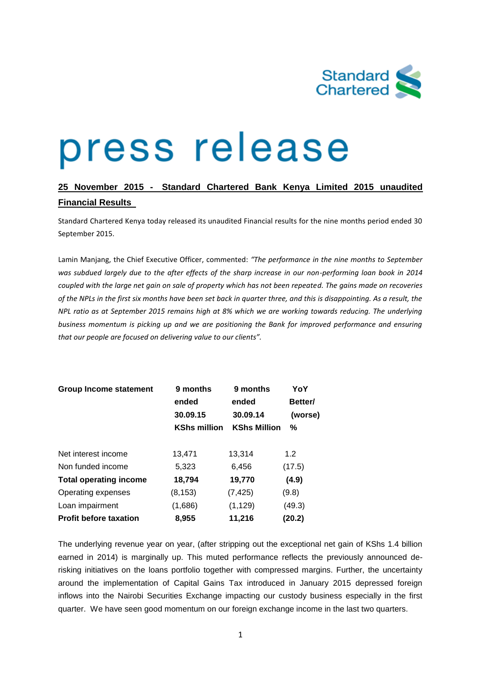

# press release

# **25 November 2015 - Standard Chartered Bank Kenya Limited 2015 unaudited Financial Results**

Standard Chartered Kenya today released its unaudited Financial results for the nine months period ended 30 September 2015.

Lamin Manjang, the Chief Executive Officer, commented: *"The performance in the nine months to September was subdued largely due to the after effects of the sharp increase in our non-performing loan book in 2014 coupled with the large net gain on sale of property which has not been repeated. The gains made on recoveries of the NPLs in the first six months have been set back in quarter three, and this is disappointing. As a result, the NPL ratio as at September 2015 remains high at 8% which we are working towards reducing. The underlying business momentum is picking up and we are positioning the Bank for improved performance and ensuring that our people are focused on delivering value to our clients".*

| <b>Group Income statement</b> | 9 months<br>ended   | 9 months<br>ended   | YoY<br>Better/ |
|-------------------------------|---------------------|---------------------|----------------|
|                               | 30.09.15            | 30.09.14            | (worse)        |
|                               | <b>KShs million</b> | <b>KShs Million</b> | %              |
|                               |                     |                     |                |
| Net interest income           | 13,471              | 13,314              | 1.2            |
| Non funded income             | 5,323               | 6,456               | (17.5)         |
| <b>Total operating income</b> | 18,794              | 19,770              | (4.9)          |
| Operating expenses            | (8, 153)            | (7, 425)            | (9.8)          |
| Loan impairment               | (1,686)             | (1, 129)            | (49.3)         |
| <b>Profit before taxation</b> | 8,955               | 11,216              | (20.2)         |

The underlying revenue year on year, (after stripping out the exceptional net gain of KShs 1.4 billion earned in 2014) is marginally up. This muted performance reflects the previously announced derisking initiatives on the loans portfolio together with compressed margins. Further, the uncertainty around the implementation of Capital Gains Tax introduced in January 2015 depressed foreign inflows into the Nairobi Securities Exchange impacting our custody business especially in the first quarter. We have seen good momentum on our foreign exchange income in the last two quarters.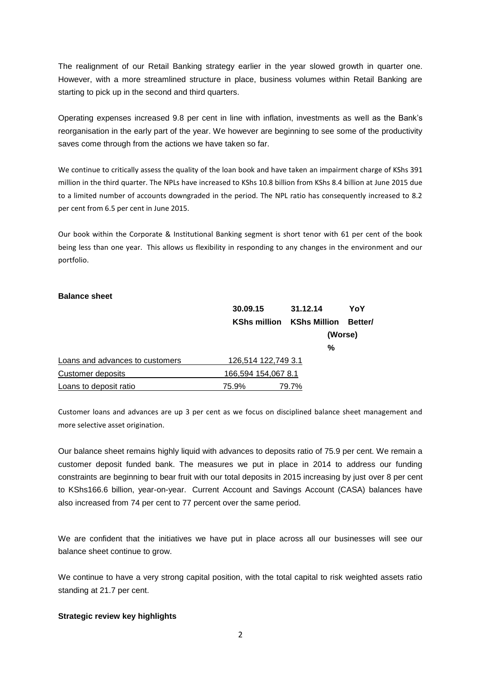The realignment of our Retail Banking strategy earlier in the year slowed growth in quarter one. However, with a more streamlined structure in place, business volumes within Retail Banking are starting to pick up in the second and third quarters.

Operating expenses increased 9.8 per cent in line with inflation, investments as well as the Bank's reorganisation in the early part of the year. We however are beginning to see some of the productivity saves come through from the actions we have taken so far.

We continue to critically assess the quality of the loan book and have taken an impairment charge of KShs 391 million in the third quarter. The NPLs have increased to KShs 10.8 billion from KShs 8.4 billion at June 2015 due to a limited number of accounts downgraded in the period. The NPL ratio has consequently increased to 8.2 per cent from 6.5 per cent in June 2015.

Our book within the Corporate & Institutional Banking segment is short tenor with 61 per cent of the book being less than one year. This allows us flexibility in responding to any changes in the environment and our portfolio.

#### **Balance sheet**

|                                 | 30.09.15<br><b>KShs million</b> | 31.12.14            | YoY<br><b>Better/</b><br>(Worse) |
|---------------------------------|---------------------------------|---------------------|----------------------------------|
|                                 |                                 | <b>KShs Million</b> |                                  |
|                                 |                                 |                     |                                  |
|                                 |                                 | %                   |                                  |
| Loans and advances to customers | 126,514 122,749 3.1             |                     |                                  |
| Customer deposits               | 166,594 154,067 8.1             |                     |                                  |
| Loans to deposit ratio          | 75.9%                           | 79.7%               |                                  |

Customer loans and advances are up 3 per cent as we focus on disciplined balance sheet management and more selective asset origination.

Our balance sheet remains highly liquid with advances to deposits ratio of 75.9 per cent. We remain a customer deposit funded bank. The measures we put in place in 2014 to address our funding constraints are beginning to bear fruit with our total deposits in 2015 increasing by just over 8 per cent to KShs166.6 billion, year-on-year. Current Account and Savings Account (CASA) balances have also increased from 74 per cent to 77 percent over the same period.

We are confident that the initiatives we have put in place across all our businesses will see our balance sheet continue to grow.

We continue to have a very strong capital position, with the total capital to risk weighted assets ratio standing at 21.7 per cent.

#### **Strategic review key highlights**